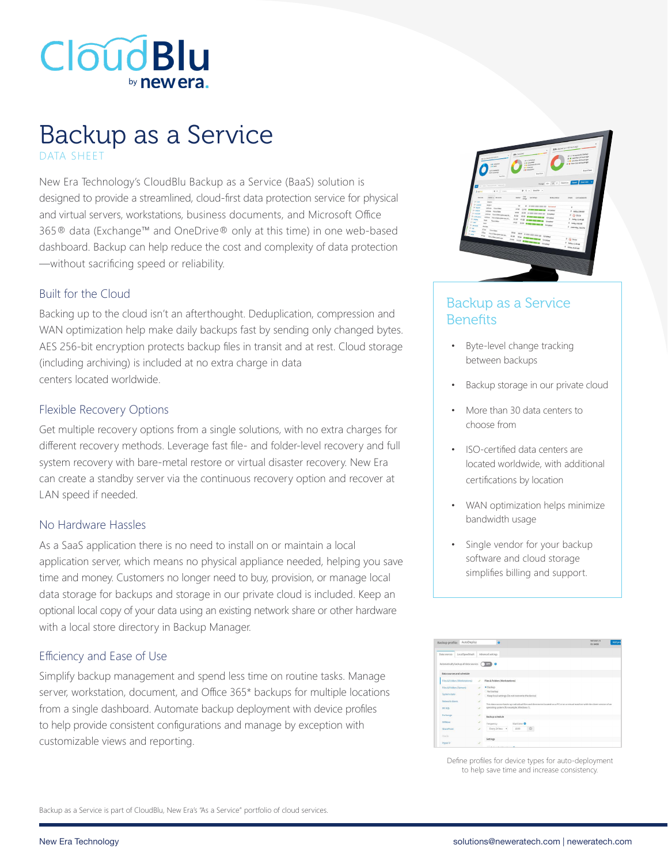

# Backup as a Service DATA SHEET

New Era Technology's CloudBlu Backup as a Service (BaaS) solution is designed to provide a streamlined, cloud-first data protection service for physical and virtual servers, workstations, business documents, and Microsoft Office 365® data (Exchange™ and OneDrive® only at this time) in one web-based dashboard. Backup can help reduce the cost and complexity of data protection —without sacrificing speed or reliability.

#### Built for the Cloud

Backing up to the cloud isn't an afterthought. Deduplication, compression and WAN optimization help make daily backups fast by sending only changed bytes. AES 256-bit encryption protects backup files in transit and at rest. Cloud storage (including archiving) is included at no extra charge in data centers located worldwide.

#### Flexible Recovery Options

Get multiple recovery options from a single solutions, with no extra charges for different recovery methods. Leverage fast file- and folder-level recovery and full system recovery with bare-metal restore or virtual disaster recovery. New Era can create a standby server via the continuous recovery option and recover at LAN speed if needed.

#### No Hardware Hassles

As a SaaS application there is no need to install on or maintain a local application server, which means no physical appliance needed, helping you save time and money. Customers no longer need to buy, provision, or manage local data storage for backups and storage in our private cloud is included. Keep an optional local copy of your data using an existing network share or other hardware with a local store directory in Backup Manager.

#### Efficiency and Ease of Use

Simplify backup management and spend less time on routine tasks. Manage server, workstation, document, and Office 365\* backups for multiple locations from a single dashboard. Automate backup deployment with device profiles to help provide consistent configurations and manage by exception with customizable views and reporting.

|                                                                                                                                              | <b>UP Complete</b>                                                                                                 | ٠                | 32% Eached up > 48 hours ago<br>25 il me secondo backup                                         |
|----------------------------------------------------------------------------------------------------------------------------------------------|--------------------------------------------------------------------------------------------------------------------|------------------|-------------------------------------------------------------------------------------------------|
| <b>H</b> Graduate Encourage<br>or a supporter<br><b>S.A. Antra</b><br>LEVE SAUDIOR<br>art intere<br>Auction                                  | <b>N F REGIST</b><br>N & Geogleted<br>5 a completed and prove<br><b>LE ANNIE</b><br>1.8 Crossett<br>And Eltra      |                  | 36 B Leatthan 24 hours ago<br>1 P Los dun 62 hours ago<br>29 B Membanas hauts ago<br>Amer Story |
| ge   now   inventories   imports<br>a<br>$0.6$ only<br>Zuester                                                                               | $0.4$ . nochy .                                                                                                    |                  | mone as 2 1 course Lond Service                                                                 |
| <b>Injourn</b><br>Denv & Jacques<br>Er sma<br><b>Jeson</b>                                                                                   | OK<br>Science!<br>Len.36 days<br>date                                                                              | <b>Ankoutine</b> | Even List successful                                                                            |
| <b>Brazilia</b><br><b>Georgia</b><br>(in access<br><b>UEDIAN FRUNTERS</b><br><b>EX MAIN</b><br>infein museum                                 | $^{12}$<br>49 Ill provided post-term dealership<br>ZCut.<br><b><i>CHA 8 000 000 000 00</i></b>                     | Completed        | ×<br>0 DELL SOLAM                                                                               |
| 0.34400<br>inthis Abaddecterance.<br><b>E-maxim</b><br><b>Library - Freedblin Statute, Id., </b><br><b>External</b><br>Renis                 | <b>Mag</b><br><b>2009</b> Illinois per per car Company<br><b>MAGE</b><br>our man on any of Council<br><b>Ricke</b> |                  | $4.60$ PMW<br>0 miles lineage                                                                   |
| Gueston<br><b>Draw</b><br><b>Real</b><br><b>C-January</b><br><b>Dirtigal</b><br><b>Date</b>                                                  | 220 E BE WE BE IN DISPAN<br><b>MG DOI &amp; BOOT OF A CHANN</b>                                                    |                  | 0 Inday 242 AM<br>P postering, has me                                                           |
| <b>Corp.</b><br>Alexander<br><b>Dr. Motors</b><br>it has<br>Countries Service, NL.<br>$1 - \mu$<br>Kley<br><b>Financial Index Select Ave</b> | Php<br>Now in comp comp and the Completed<br>47.08                                                                 |                  |                                                                                                 |
|                                                                                                                                              | <b>POR BUILDING AND A CONSULT</b><br>July 1930 Company County                                                      |                  | 0.9335<br>d Mda. 2249.48                                                                        |
|                                                                                                                                              |                                                                                                                    |                  | 0 1068x1225AN                                                                                   |
|                                                                                                                                              | 120317204<br>高原田田岳                                                                                                 |                  |                                                                                                 |
|                                                                                                                                              |                                                                                                                    |                  |                                                                                                 |

## Backup as a Service **Benefits**

- Byte-level change tracking between backups
- Backup storage in our private cloud
- More than 30 data centers to choose from
- ISO-certified data centers are located worldwide, with additional certifications by location
- WAN optimization helps minimize bandwidth usage
- Single vendor for your backup software and cloud storage simplifies billing and support.

| AutoDeploy<br>Backup profile:         |    | Version: 6<br>$\Omega$<br>ID: 6408                                                                                               | Add ord |  |  |
|---------------------------------------|----|----------------------------------------------------------------------------------------------------------------------------------|---------|--|--|
|                                       |    |                                                                                                                                  |         |  |  |
| LocalSpeed/ault<br>Oata sources       |    | Advanced settings                                                                                                                |         |  |  |
|                                       |    |                                                                                                                                  |         |  |  |
| Automatically backup all data sources |    | 1000000                                                                                                                          |         |  |  |
|                                       |    |                                                                                                                                  |         |  |  |
| Data sources and schedule             |    |                                                                                                                                  |         |  |  |
| Files & Folders (Workstations)        | s. | Files & Folders (Werkstations)                                                                                                   |         |  |  |
| Files & Folders (Servers)             |    | $-$ Backup                                                                                                                       |         |  |  |
|                                       |    | No backup                                                                                                                        |         |  |  |
| System state                          |    | Keep local settings (Do not overwrite the device)                                                                                |         |  |  |
| <b>Network shares</b>                 | s. |                                                                                                                                  |         |  |  |
|                                       |    | This data source backs up individual files and directories located on a PC or on a virtual machine with the client version of an |         |  |  |
| MS SOL                                | J. | operating system (for example, Windows 7).                                                                                       |         |  |  |
| Exchange                              |    | <b>Backup schedule</b>                                                                                                           |         |  |  |
| <b>VARICAN</b>                        | i. |                                                                                                                                  |         |  |  |
|                                       |    | Start time O<br>Frequency                                                                                                        |         |  |  |
| SharePoint                            | S. | $\circ$<br>Every 24 hou .<br>18:00                                                                                               |         |  |  |
| Oprie                                 |    |                                                                                                                                  |         |  |  |
|                                       |    | Settings                                                                                                                         |         |  |  |
| <b>Hyper</b> V                        |    |                                                                                                                                  |         |  |  |

Define profiles for device types for auto-deployment to help save time and increase consistency.

Backup as a Service is part of CloudBlu, New Era's "As a Service" portfolio of cloud services.